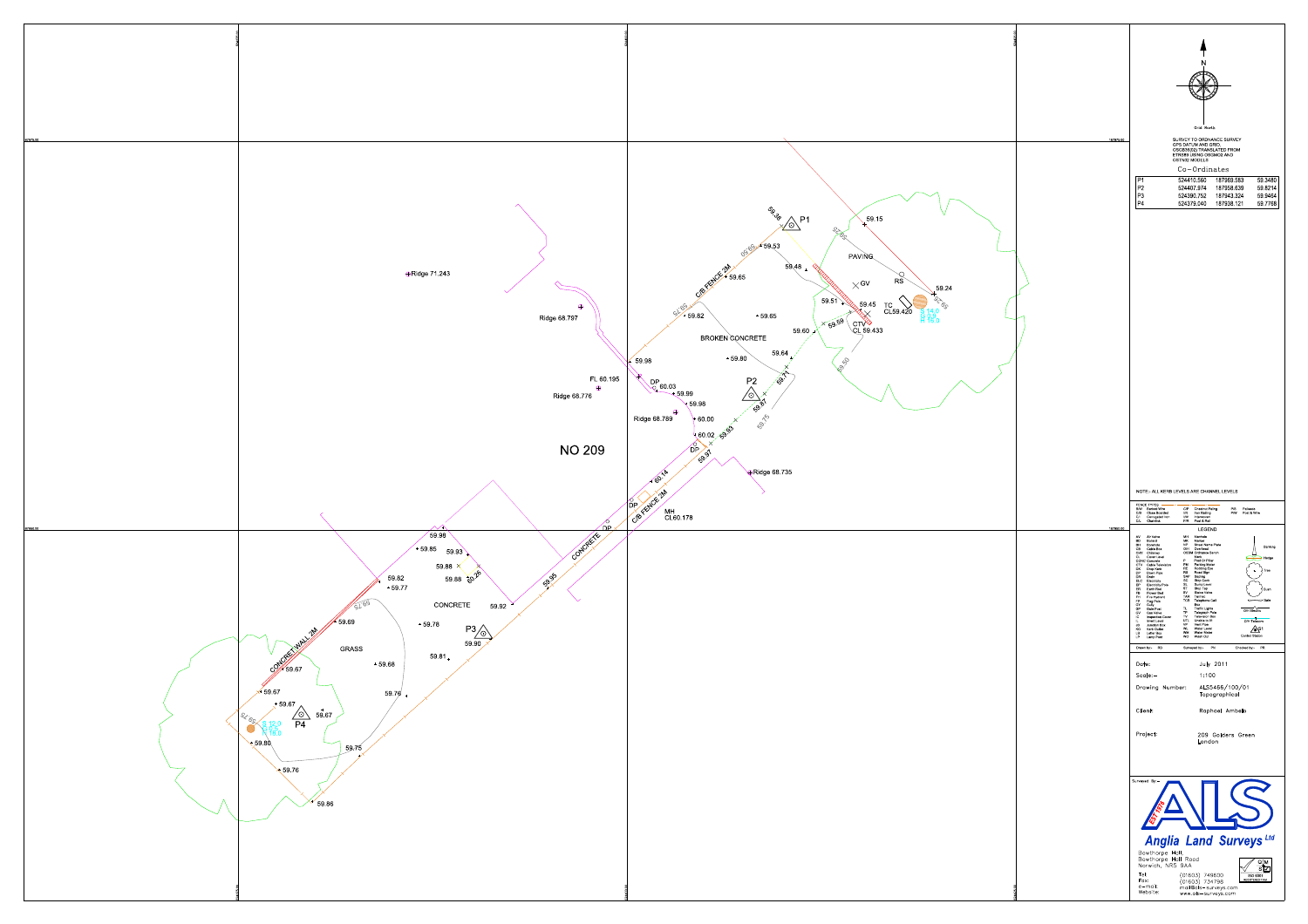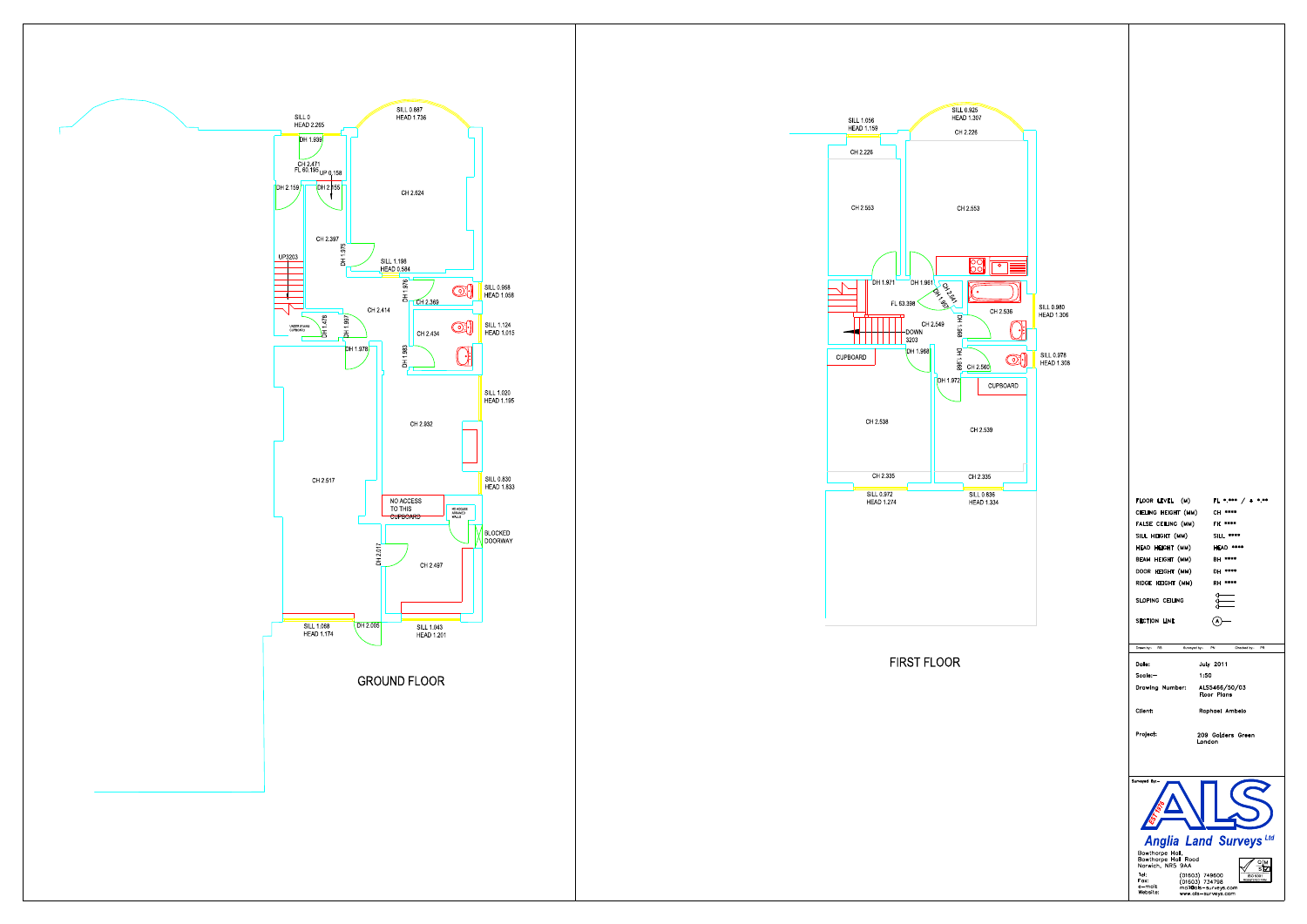

![](_page_1_Figure_1.jpeg)